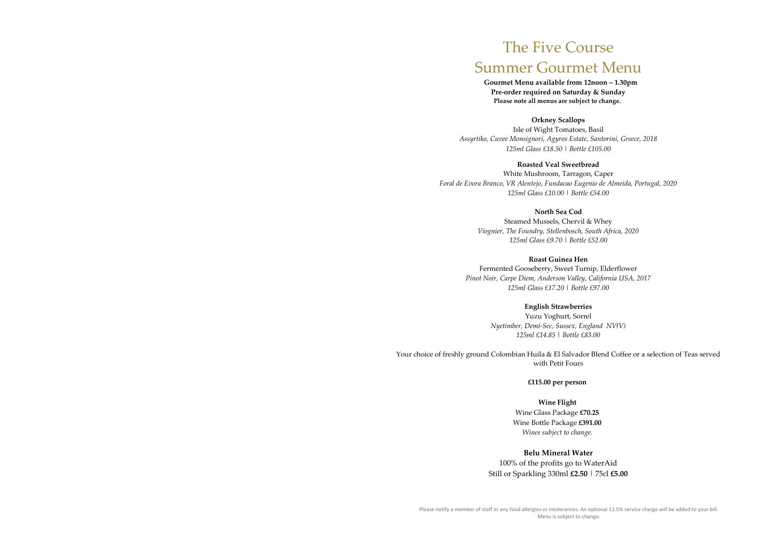# The Five Course Summer Gourmet Menu

 **Gourmet Menu available from 12noon – 1.30pm Pre-order required on Saturday & Sunday Please note all menus are subject to change.**

### **Orkney Scallops**

Isle of Wight Tomatoes, Basil *Assyrtiko, Cuvee Monsignori, Agyros Estate, Santorini, Greece, 2018 125ml Glass £18.50 | Bottle £105.00*

### **Roasted Veal Sweetbread**

White Mushroom, Tarragon, Caper *Foral de Evora Branco, VR Alentejo, Fundacao Eugenio de Almeida, Portugal, 2020 125ml Glass £10.00 | Bottle £54.00*

Your choice of freshly ground Colombian Huila & El Salvador Blend Coffee or a selection of Teas served with Petit Fours

# **North Sea Cod**

Steamed Mussels, Chervil & Whey *Viognier, The Foundry, Stellenbosch, South Africa, 2020 125ml Glass £9.70 | Bottle £52.00*

### **Roast Guinea Hen**

Fermented Gooseberry, Sweet Turnip, Elderflower *Pinot Noir, Carpe Diem, Anderson Valley, California USA, 2017 125ml Glass £17.20 | Bottle £97.00*

### **English Strawberries**

Yuzu Yoghurt, Sorrel *Nyetimber, Demi-Sec, Sussex, England NV(V) 125ml £14.85 | Bottle £83.00*

### **£115.00 per person**

### **Wine Flight** Wine Glass Package **£70.25** Wine Bottle Package **£391.00** *Wines subject to change.*

### **Belu Mineral Water**

100% of the profits go to WaterAid Still or Sparkling 330ml **£2.50** | 75cl **£5.00**